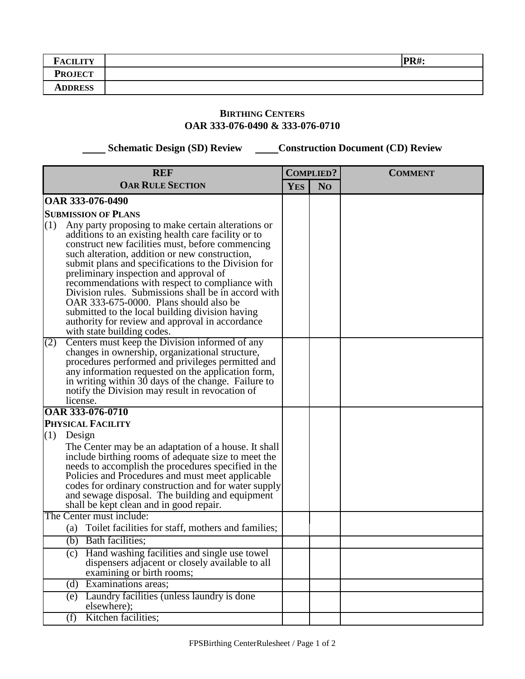| $\blacksquare$<br><b>CILITY</b> | <b>PR#:</b> |
|---------------------------------|-------------|
| <b>PROJECT</b>                  |             |
| <b>ADDRESS</b>                  |             |

## **BIRTHING CENTERS OAR 333-076-0490 & 333-076-0710**

 **Schematic Design (SD) Review Construction Document (CD) Review** 

| <b>REF</b>                                                                                                                                                                                                                                                                                                                                                                                                                                                                                                                                                                                                      |            | <b>COMPLIED?</b> | <b>COMMENT</b> |
|-----------------------------------------------------------------------------------------------------------------------------------------------------------------------------------------------------------------------------------------------------------------------------------------------------------------------------------------------------------------------------------------------------------------------------------------------------------------------------------------------------------------------------------------------------------------------------------------------------------------|------------|------------------|----------------|
| <b>OAR RULE SECTION</b>                                                                                                                                                                                                                                                                                                                                                                                                                                                                                                                                                                                         | <b>YES</b> | N <sub>O</sub>   |                |
| OAR 333-076-0490                                                                                                                                                                                                                                                                                                                                                                                                                                                                                                                                                                                                |            |                  |                |
| <b>SUBMISSION OF PLANS</b>                                                                                                                                                                                                                                                                                                                                                                                                                                                                                                                                                                                      |            |                  |                |
| (1)<br>Any party proposing to make certain alterations or<br>additions to an existing health care facility or to<br>construct new facilities must, before commencing<br>such alteration, addition or new construction,<br>submit plans and specifications to the Division for<br>preliminary inspection and approval of<br>recommendations with respect to compliance with<br>Division rules. Submissions shall be in accord with<br>OAR 333-675-0000. Plans should also be<br>submitted to the local building division having<br>authority for review and approval in accordance<br>with state building codes. |            |                  |                |
| Centers must keep the Division informed of any<br>(2)<br>changes in ownership, organizational structure,<br>procedures performed and privileges permitted and<br>any information requested on the application form,<br>in writing within 30 days of the change. Failure to<br>notify the Division may result in revocation of<br>license.                                                                                                                                                                                                                                                                       |            |                  |                |
| <b>OAR 333-076-0710</b>                                                                                                                                                                                                                                                                                                                                                                                                                                                                                                                                                                                         |            |                  |                |
| PHYSICAL FACILITY                                                                                                                                                                                                                                                                                                                                                                                                                                                                                                                                                                                               |            |                  |                |
| (1)<br>Design<br>The Center may be an adaptation of a house. It shall<br>include birthing rooms of adequate size to meet the<br>needs to accomplish the procedures specified in the<br>Policies and Procedures and must meet applicable<br>codes for ordinary construction and for water supply<br>and sewage disposal. The building and equipment<br>shall be kept clean and in good repair.                                                                                                                                                                                                                   |            |                  |                |
| The Center must include:                                                                                                                                                                                                                                                                                                                                                                                                                                                                                                                                                                                        |            |                  |                |
| (a) Toilet facilities for staff, mothers and families;                                                                                                                                                                                                                                                                                                                                                                                                                                                                                                                                                          |            |                  |                |
| (b) Bath facilities;                                                                                                                                                                                                                                                                                                                                                                                                                                                                                                                                                                                            |            |                  |                |
| (c) Hand washing facilities and single use towel<br>dispensers adjacent or closely available to all<br>examining or birth rooms;                                                                                                                                                                                                                                                                                                                                                                                                                                                                                |            |                  |                |
| (d) Examinations areas;                                                                                                                                                                                                                                                                                                                                                                                                                                                                                                                                                                                         |            |                  |                |
| Laundry facilities (unless laundry is done<br>(e)<br>elsewhere);                                                                                                                                                                                                                                                                                                                                                                                                                                                                                                                                                |            |                  |                |
| Kitchen facilities;<br>(f)                                                                                                                                                                                                                                                                                                                                                                                                                                                                                                                                                                                      |            |                  |                |